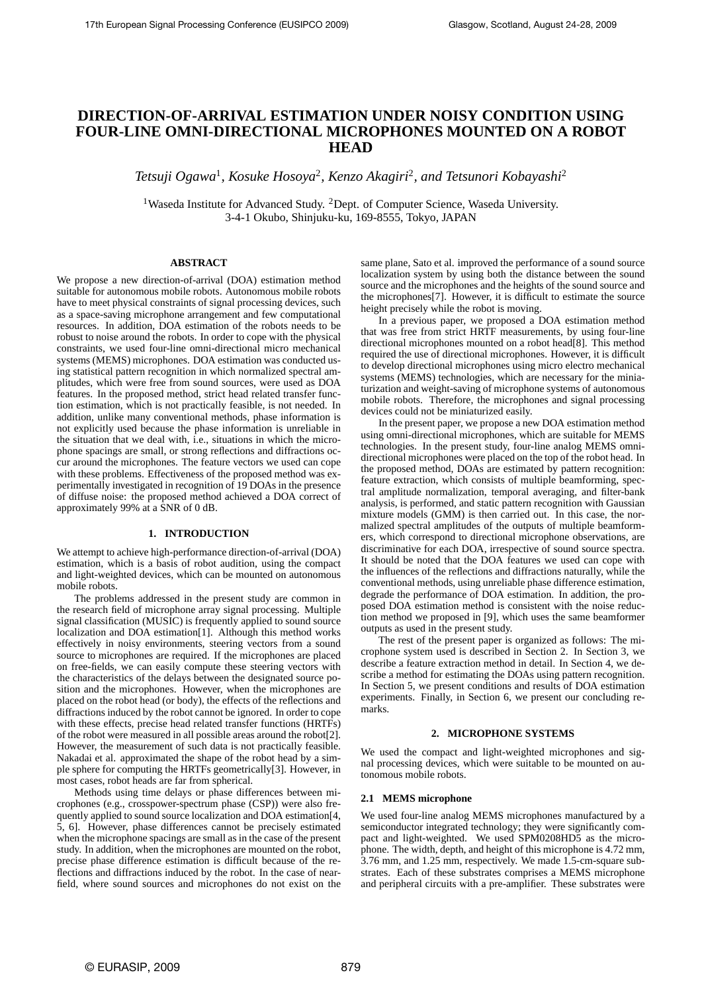# **DIRECTION-OF-ARRIVAL ESTIMATION UNDER NOISY CONDITION USING FOUR-LINE OMNI-DIRECTIONAL MICROPHONES MOUNTED ON A ROBOT HEAD**

Tetsuji Ogawa<sup>1</sup>, Kosuke Hosoya<sup>2</sup>, Kenzo Akagiri<sup>2</sup>, and Tetsunori Kobayashi<sup>2</sup>

<sup>1</sup>Waseda Institute for Advanced Study. <sup>2</sup>Dept. of Computer Science, Waseda University. 3-4-1 Okubo, Shinjuku-ku, 169-8555, Tokyo, JAPAN

# **ABSTRACT**

We propose a new direction-of-arrival (DOA) estimation method suitable for autonomous mobile robots. Autonomous mobile robots have to meet physical constraints of signal processing devices, such as a space-saving microphone arrangement and few computational resources. In addition, DOA estimation of the robots needs to be robust to noise around the robots. In order to cope with the physical constraints, we used four-line omni-directional micro mechanical systems (MEMS) microphones. DOA estimation was conducted using statistical pattern recognition in which normalized spectral amplitudes, which were free from sound sources, were used as DOA features. In the proposed method, strict head related transfer function estimation, which is not practically feasible, is not needed. In addition, unlike many conventional methods, phase information is not explicitly used because the phase information is unreliable in the situation that we deal with, i.e., situations in which the microphone spacings are small, or strong reflections and diffractions occur around the microphones. The feature vectors we used can cope with these problems. Effectiveness of the proposed method was experimentally investigated in recognition of 19 DOAs in the presence of diffuse noise: the proposed method achieved a DOA correct of approximately 99% at a SNR of 0 dB.

## **1. INTRODUCTION**

We attempt to achieve high-performance direction-of-arrival (DOA) estimation, which is a basis of robot audition, using the compact and light-weighted devices, which can be mounted on autonomous mobile robots.

The problems addressed in the present study are common in the research field of microphone array signal processing. Multiple signal classification (MUSIC) is frequently applied to sound source localization and DOA estimation[1]. Although this method works effectively in noisy environments, steering vectors from a sound source to microphones are required. If the microphones are placed on free-fields, we can easily compute these steering vectors with the characteristics of the delays between the designated source position and the microphones. However, when the microphones are placed on the robot head (or body), the effects of the reflections and diffractions induced by the robot cannot be ignored. In order to cope with these effects, precise head related transfer functions (HRTFs) of the robot were measured in all possible areas around the robot[2]. However, the measurement of such data is not practically feasible. Nakadai et al. approximated the shape of the robot head by a simple sphere for computing the HRTFs geometrically[3]. However, in most cases, robot heads are far from spherical.

Methods using time delays or phase differences between microphones (e.g., crosspower-spectrum phase (CSP)) were also frequently applied to sound source localization and DOA estimation[4, 5, 6]. However, phase differences cannot be precisely estimated when the microphone spacings are small as in the case of the present study. In addition, when the microphones are mounted on the robot, precise phase difference estimation is difficult because of the reflections and diffractions induced by the robot. In the case of nearfield, where sound sources and microphones do not exist on the same plane, Sato et al. improved the performance of a sound source localization system by using both the distance between the sound source and the microphones and the heights of the sound source and the microphones[7]. However, it is difficult to estimate the source height precisely while the robot is moving.

In a previous paper, we proposed a DOA estimation method that was free from strict HRTF measurements, by using four-line directional microphones mounted on a robot head[8]. This method required the use of directional microphones. However, it is difficult to develop directional microphones using micro electro mechanical systems (MEMS) technologies, which are necessary for the miniaturization and weight-saving of microphone systems of autonomous mobile robots. Therefore, the microphones and signal processing devices could not be miniaturized easily.

In the present paper, we propose a new DOA estimation method using omni-directional microphones, which are suitable for MEMS technologies. In the present study, four-line analog MEMS omnidirectional microphones were placed on the top of the robot head. In the proposed method, DOAs are estimated by pattern recognition: feature extraction, which consists of multiple beamforming, spectral amplitude normalization, temporal averaging, and filter-bank analysis, is performed, and static pattern recognition with Gaussian mixture models (GMM) is then carried out. In this case, the normalized spectral amplitudes of the outputs of multiple beamformers, which correspond to directional microphone observations, are discriminative for each DOA, irrespective of sound source spectra. It should be noted that the DOA features we used can cope with the influences of the reflections and diffractions naturally, while the conventional methods, using unreliable phase difference estimation, degrade the performance of DOA estimation. In addition, the proposed DOA estimation method is consistent with the noise reduction method we proposed in [9], which uses the same beamformer outputs as used in the present study.

The rest of the present paper is organized as follows: The microphone system used is described in Section 2. In Section 3, we describe a feature extraction method in detail. In Section 4, we describe a method for estimating the DOAs using pattern recognition. In Section 5, we present conditions and results of DOA estimation experiments. Finally, in Section 6, we present our concluding remarks.

#### **2. MICROPHONE SYSTEMS**

We used the compact and light-weighted microphones and signal processing devices, which were suitable to be mounted on autonomous mobile robots.

## **2.1 MEMS microphone**

We used four-line analog MEMS microphones manufactured by a semiconductor integrated technology; they were significantly compact and light-weighted. We used SPM0208HD5 as the microphone. The width, depth, and height of this microphone is 4.72 mm, 3.76 mm, and 1.25 mm, respectively. We made 1.5-cm-square substrates. Each of these substrates comprises a MEMS microphone and peripheral circuits with a pre-amplifier. These substrates were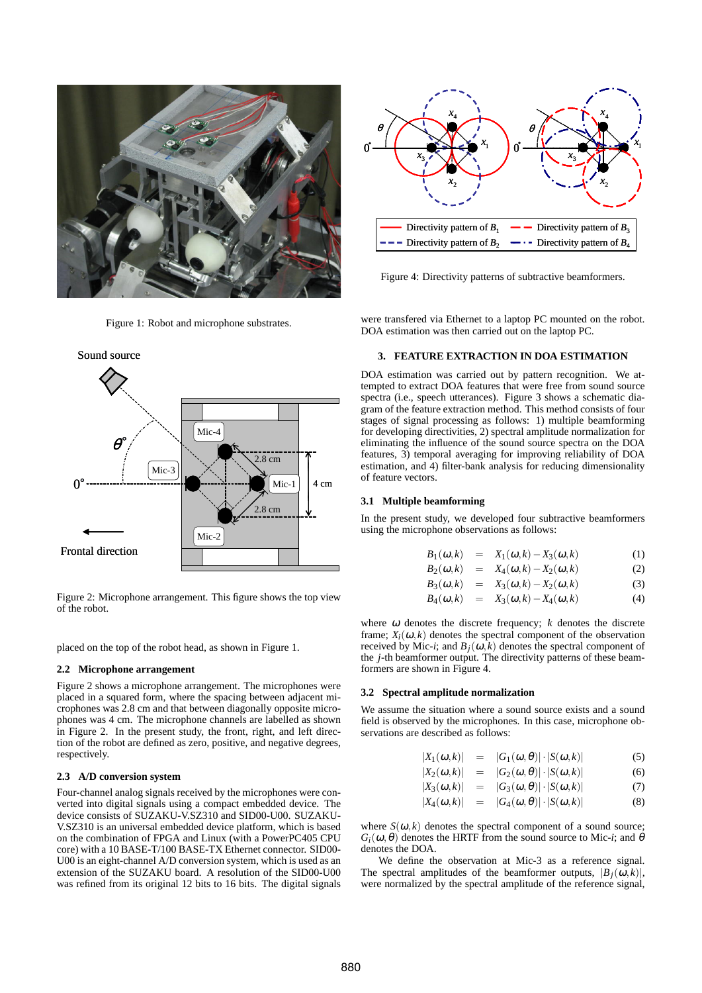

Figure 1: Robot and microphone substrates.



Figure 2: Microphone arrangement. This figure shows the top view of the robot.

placed on the top of the robot head, as shown in Figure 1.

# **2.2 Microphone arrangement**

Figure 2 shows a microphone arrangement. The microphones were placed in a squared form, where the spacing between adjacent microphones was 2.8 cm and that between diagonally opposite microphones was 4 cm. The microphone channels are labelled as shown in Figure 2. In the present study, the front, right, and left direction of the robot are defined as zero, positive, and negative degrees, respectively.

## **2.3 A/D conversion system**

Four-channel analog signals received by the microphones were converted into digital signals using a compact embedded device. The device consists of SUZAKU-V.SZ310 and SID00-U00. SUZAKU-V.SZ310 is an universal embedded device platform, which is based on the combination of FPGA and Linux (with a PowerPC405 CPU core) with a 10 BASE-T/100 BASE-TX Ethernet connector. SID00- U00 is an eight-channel A/D conversion system, which is used as an extension of the SUZAKU board. A resolution of the SID00-U00 was refined from its original 12 bits to 16 bits. The digital signals



Figure 4: Directivity patterns of subtractive beamformers.

were transfered via Ethernet to a laptop PC mounted on the robot. DOA estimation was then carried out on the laptop PC.

# **3. FEATURE EXTRACTION IN DOA ESTIMATION**

DOA estimation was carried out by pattern recognition. We attempted to extract DOA features that were free from sound source spectra (i.e., speech utterances). Figure 3 shows a schematic diagram of the feature extraction method. This method consists of four stages of signal processing as follows: 1) multiple beamforming for developing directivities, 2) spectral amplitude normalization for eliminating the influence of the sound source spectra on the DOA features, 3) temporal averaging for improving reliability of DOA estimation, and 4) filter-bank analysis for reducing dimensionality of feature vectors.

# **3.1 Multiple beamforming**

In the present study, we developed four subtractive beamformers using the microphone observations as follows:

$$
B_1(\omega,k) = X_1(\omega,k) - X_3(\omega,k) \tag{1}
$$

$$
B_2(\omega,k) = X_4(\omega,k) - X_2(\omega,k) \tag{2}
$$

$$
B_3(\omega,k) = X_3(\omega,k) - X_2(\omega,k) \tag{3}
$$

$$
B_4(\omega,k) = X_3(\omega,k) - X_4(\omega,k) \tag{4}
$$

where  $\omega$  denotes the discrete frequency;  $k$  denotes the discrete frame;  $X_i(\omega, k)$  denotes the spectral component of the observation received by Mic-*i*; and  $B_i(\omega, k)$  denotes the spectral component of the *j*-th beamformer output. The directivity patterns of these beamformers are shown in Figure 4.

## **3.2 Spectral amplitude normalization**

We assume the situation where a sound source exists and a sound field is observed by the microphones. In this case, microphone observations are described as follows:

$$
|X_1(\omega,k)| = |G_1(\omega,\theta)| \cdot |S(\omega,k)| \tag{5}
$$

$$
|X_2(\omega,k)| = |G_2(\omega,\theta)| \cdot |S(\omega,k)| \tag{6}
$$

$$
|X_3(\omega,k)| = |G_3(\omega,\theta)| \cdot |S(\omega,k)| \tag{7}
$$

$$
|X_4(\omega,k)| = |G_4(\omega,\theta)| \cdot |S(\omega,k)| \tag{8}
$$

where  $S(\omega, k)$  denotes the spectral component of a sound source;  $G_i(\omega, \theta)$  denotes the HRTF from the sound source to Mic-*i*; and  $\theta$ denotes the DOA.

We define the observation at Mic-3 as a reference signal. The spectral amplitudes of the beamformer outputs,  $|B_i(\omega, k)|$ , were normalized by the spectral amplitude of the reference signal,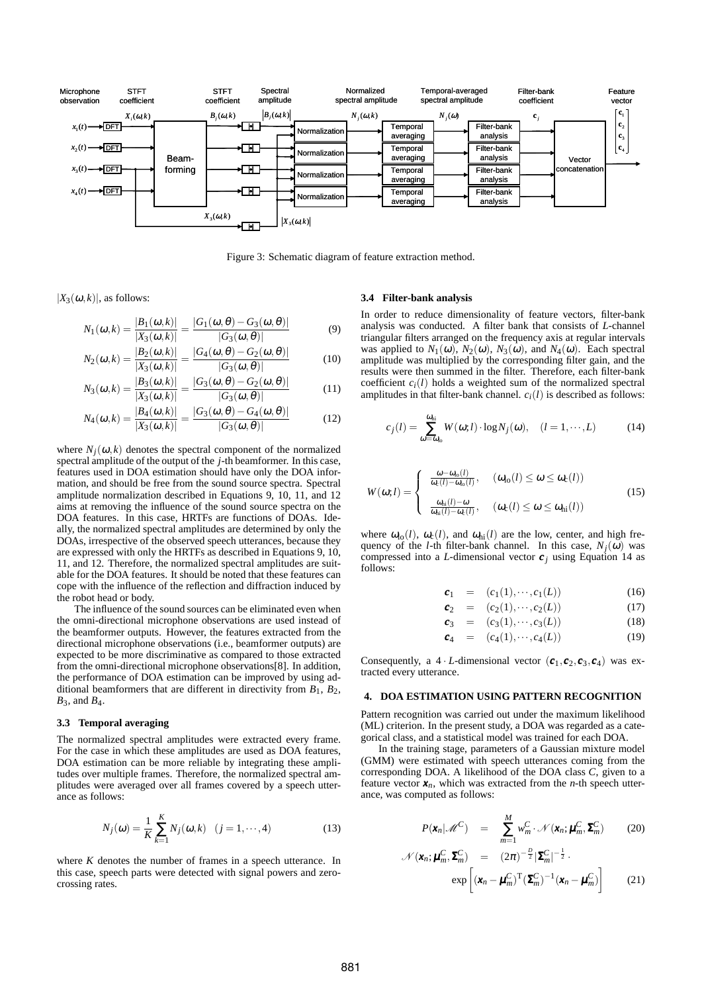

Figure 3: Schematic diagram of feature extraction method.

 $|X_3(\omega,k)|$ , as follows:

$$
N_1(\omega, k) = \frac{|B_1(\omega, k)|}{|X_3(\omega, k)|} = \frac{|G_1(\omega, \theta) - G_3(\omega, \theta)|}{|G_3(\omega, \theta)|}
$$
(9)

$$
N_2(\omega, k) = \frac{|B_2(\omega, k)|}{|X_3(\omega, k)|} = \frac{|G_4(\omega, \theta) - G_2(\omega, \theta)|}{|G_3(\omega, \theta)|}
$$
(10)

$$
N_3(\omega,k) = \frac{|B_3(\omega,k)|}{|X_3(\omega,k)|} = \frac{|G_3(\omega,\theta) - G_2(\omega,\theta)|}{|G_3(\omega,\theta)|}
$$
(11)

$$
N_4(\omega,k) = \frac{|B_4(\omega,k)|}{|X_3(\omega,k)|} = \frac{|G_3(\omega,\theta) - G_4(\omega,\theta)|}{|G_3(\omega,\theta)|}
$$
(12)

where  $N_i(\omega, k)$  denotes the spectral component of the normalized spectral amplitude of the output of the *j*-th beamformer. In this case, features used in DOA estimation should have only the DOA information, and should be free from the sound source spectra. Spectral amplitude normalization described in Equations 9, 10, 11, and 12 aims at removing the influence of the sound source spectra on the DOA features. In this case, HRTFs are functions of DOAs. Ideally, the normalized spectral amplitudes are determined by only the DOAs, irrespective of the observed speech utterances, because they are expressed with only the HRTFs as described in Equations 9, 10, 11, and 12. Therefore, the normalized spectral amplitudes are suitable for the DOA features. It should be noted that these features can cope with the influence of the reflection and diffraction induced by the robot head or body.

The influence of the sound sources can be eliminated even when the omni-directional microphone observations are used instead of the beamformer outputs. However, the features extracted from the directional microphone observations (i.e., beamformer outputs) are expected to be more discriminative as compared to those extracted from the omni-directional microphone observations[8]. In addition, the performance of DOA estimation can be improved by using additional beamformers that are different in directivity from  $B_1$ ,  $B_2$ , *B*3, and *B*4.

#### **3.3 Temporal averaging**

The normalized spectral amplitudes were extracted every frame. For the case in which these amplitudes are used as DOA features, DOA estimation can be more reliable by integrating these amplitudes over multiple frames. Therefore, the normalized spectral amplitudes were averaged over all frames covered by a speech utterance as follows:

$$
N_j(\omega) = \frac{1}{K} \sum_{k=1}^{K} N_j(\omega, k) \quad (j = 1, \cdots, 4)
$$
 (13)

where *K* denotes the number of frames in a speech utterance. In this case, speech parts were detected with signal powers and zerocrossing rates.

## **3.4 Filter-bank analysis**

In order to reduce dimensionality of feature vectors, filter-bank analysis was conducted. A filter bank that consists of *L*-channel triangular filters arranged on the frequency axis at regular intervals was applied to  $N_1(\omega)$ ,  $N_2(\omega)$ ,  $N_3(\omega)$ , and  $N_4(\omega)$ . Each spectral amplitude was multiplied by the corresponding filter gain, and the results were then summed in the filter. Therefore, each filter-bank coefficient  $c_i(l)$  holds a weighted sum of the normalized spectral amplitudes in that filter-bank channel.  $c_i(l)$  is described as follows:

$$
c_j(l) = \sum_{\omega = \omega_0}^{\omega_{hi}} W(\omega; l) \cdot \log N_j(\omega), \quad (l = 1, \cdots, L)
$$
 (14)

$$
W(\omega;l) = \begin{cases} \frac{\omega - \omega_{\text{lo}}(l)}{\omega_{\text{c}}(l) - \omega_{\text{lo}}(l)}, & (\omega_{\text{lo}}(l) \le \omega \le \omega_{\text{c}}(l)) \\ \frac{\omega_{\text{hi}}(l) - \omega}{\omega_{\text{hi}}(l) - \omega_{\text{c}}(l)}, & (\omega_{\text{c}}(l) \le \omega \le \omega_{\text{hi}}(l)) \end{cases}
$$
(15)

where  $\omega_{\text{lo}}(l)$ ,  $\omega_{\text{c}}(l)$ , and  $\omega_{\text{hi}}(l)$  are the low, center, and high frequency of the *l*-th filter-bank channel. In this case,  $N_i(\omega)$  was compressed into a *L*-dimensional vector  $c_j$  using Equation 14 as follows:

$$
c_1 = (c_1(1), \cdots, c_1(L)) \tag{16}
$$

$$
c_2 = (c_2(1), \cdots, c_2(L)) \tag{17}
$$

$$
c_3 = (c_3(1), \cdots, c_3(L)) \tag{18}
$$

$$
c_4 = (c_4(1), \cdots, c_4(L)) \tag{19}
$$

Consequently, a 4 *· L*-dimensional vector  $(c_1, c_2, c_3, c_4)$  was extracted every utterance.

# **4. DOA ESTIMATION USING PATTERN RECOGNITION**

Pattern recognition was carried out under the maximum likelihood (ML) criterion. In the present study, a DOA was regarded as a categorical class, and a statistical model was trained for each DOA.

In the training stage, parameters of a Gaussian mixture model (GMM) were estimated with speech utterances coming from the corresponding DOA. A likelihood of the DOA class *C*, given to a feature vector  $x_n$ , which was extracted from the *n*-th speech utterance, was computed as follows:

$$
P(\mathbf{x}_n|\mathscr{M}^C) = \sum_{m=1}^M w_m^C \cdot \mathscr{N}(\mathbf{x}_n; \boldsymbol{\mu}_m^C, \boldsymbol{\Sigma}_m^C) \qquad (20)
$$

$$
\mathcal{N}(\mathbf{x}_n; \boldsymbol{\mu}_m^C, \boldsymbol{\Sigma}_m^C) = (2\pi)^{-\frac{D}{2}} |\boldsymbol{\Sigma}_m^C|^{-\frac{1}{2}}.
$$

$$
\exp\left[ (\mathbf{x}_n - \boldsymbol{\mu}_m^C)^{\mathrm{T}} (\boldsymbol{\Sigma}_m^C)^{-1} (\mathbf{x}_n - \boldsymbol{\mu}_m^C) \right]
$$
(21)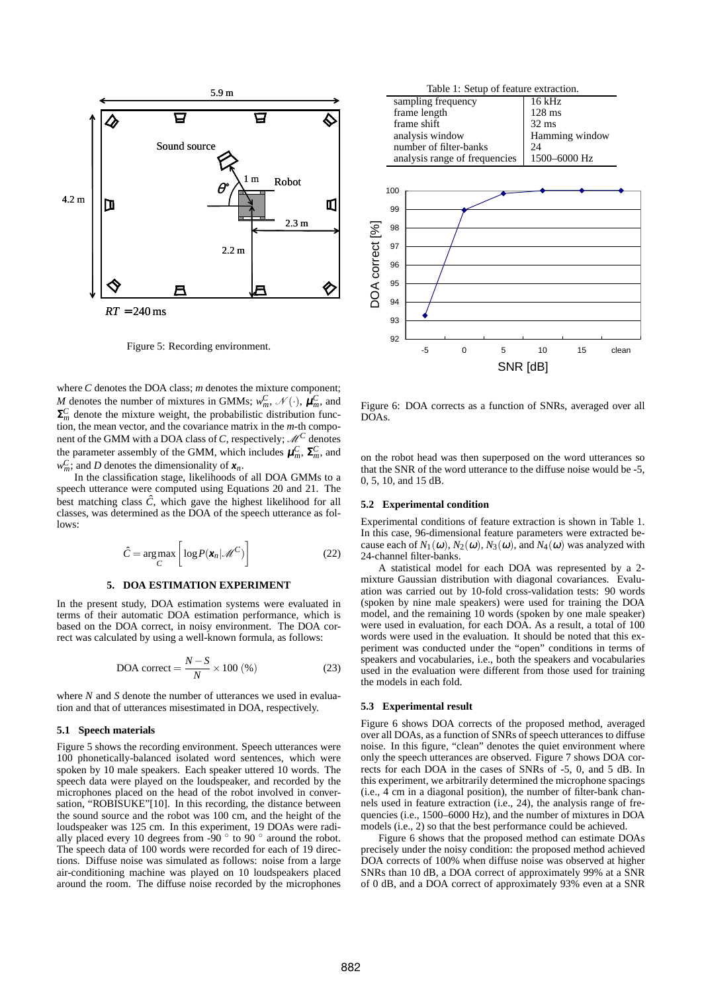

Figure 5: Recording environment.

where *C* denotes the DOA class; *m* denotes the mixture component; *M* denotes the number of mixtures in GMMs;  $w_m^C$ ,  $\mathcal{N}(\cdot)$ ,  $\mu_m^C$ , and  $\Sigma_m^C$  denote the mixture weight, the probabilistic distribution function, the mean vector, and the covariance matrix in the *m*-th component of the GMM with a DOA class of *C*, respectively;  $\mathcal{M}^C$  denotes the parameter assembly of the GMM, which includes  $\boldsymbol{\mu}_m^C$ ,  $\boldsymbol{\Sigma}_m^C$ , and  $w_m^C$ ; and *D* denotes the dimensionality of  $x_n$ .

In the classification stage, likelihoods of all DOA GMMs to a speech utterance were computed using Equations 20 and 21. The best matching class  $\hat{C}$ , which gave the highest likelihood for all classes, was determined as the DOA of the speech utterance as follows:

$$
\hat{C} = \underset{C}{\arg \max} \left[ \log P(\mathbf{x}_n | \mathcal{M}^C) \right]
$$
 (22)

# **5. DOA ESTIMATION EXPERIMENT**

In the present study, DOA estimation systems were evaluated in terms of their automatic DOA estimation performance, which is based on the DOA correct, in noisy environment. The DOA correct was calculated by using a well-known formula, as follows:

$$
DOA correct = \frac{N - S}{N} \times 100 \, (\%) \tag{23}
$$

where *N* and *S* denote the number of utterances we used in evaluation and that of utterances misestimated in DOA, respectively.

# **5.1 Speech materials**

Figure 5 shows the recording environment. Speech utterances were 100 phonetically-balanced isolated word sentences, which were spoken by 10 male speakers. Each speaker uttered 10 words. The speech data were played on the loudspeaker, and recorded by the microphones placed on the head of the robot involved in conversation, "ROBISUKE"[10]. In this recording, the distance between the sound source and the robot was 100 cm, and the height of the loudspeaker was 125 cm. In this experiment, 19 DOAs were radially placed every 10 degrees from -90 *◦* to 90 *◦* around the robot. The speech data of 100 words were recorded for each of 19 directions. Diffuse noise was simulated as follows: noise from a large air-conditioning machine was played on 10 loudspeakers placed around the room. The diffuse noise recorded by the microphones



Figure 6: DOA corrects as a function of SNRs, averaged over all DOAs.

on the robot head was then superposed on the word utterances so that the SNR of the word utterance to the diffuse noise would be -5, 0, 5, 10, and 15 dB.

#### **5.2 Experimental condition**

Experimental conditions of feature extraction is shown in Table 1. In this case, 96-dimensional feature parameters were extracted because each of  $N_1(\omega)$ ,  $N_2(\omega)$ ,  $N_3(\omega)$ , and  $N_4(\omega)$  was analyzed with 24-channel filter-banks.

A statistical model for each DOA was represented by a 2 mixture Gaussian distribution with diagonal covariances. Evaluation was carried out by 10-fold cross-validation tests: 90 words (spoken by nine male speakers) were used for training the DOA model, and the remaining 10 words (spoken by one male speaker) were used in evaluation, for each DOA. As a result, a total of 100 words were used in the evaluation. It should be noted that this experiment was conducted under the "open" conditions in terms of speakers and vocabularies, i.e., both the speakers and vocabularies used in the evaluation were different from those used for training the models in each fold.

## **5.3 Experimental result**

Figure 6 shows DOA corrects of the proposed method, averaged over all DOAs, as a function of SNRs of speech utterances to diffuse noise. In this figure, "clean" denotes the quiet environment where only the speech utterances are observed. Figure 7 shows DOA corrects for each DOA in the cases of SNRs of -5, 0, and 5 dB. In this experiment, we arbitrarily determined the microphone spacings (i.e., 4 cm in a diagonal position), the number of filter-bank channels used in feature extraction (i.e., 24), the analysis range of frequencies (i.e., 1500–6000 Hz), and the number of mixtures in DOA models (i.e., 2) so that the best performance could be achieved.

Figure 6 shows that the proposed method can estimate DOAs precisely under the noisy condition: the proposed method achieved DOA corrects of 100% when diffuse noise was observed at higher SNRs than 10 dB, a DOA correct of approximately 99% at a SNR of 0 dB, and a DOA correct of approximately 93% even at a SNR